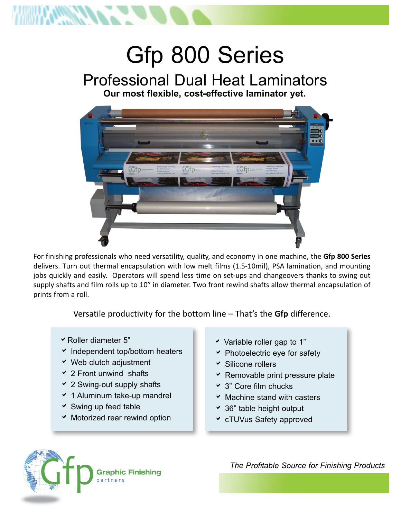

# Gfp 800 Series Professional Dual Heat Laminators **Our most flexible, cost-effective laminator yet.**



For finishing professionals who need versatility, quality, and economy in one machine, the **Gfp 800 Series** delivers. Turn out thermal encapsulation with low melt films (1.5-10mil), PSA lamination, and mounting jobs quickly and easily. Operators will spend less time on set-ups and changeovers thanks to swing out supply shafts and film rolls up to 10" in diameter. Two front rewind shafts allow thermal encapsulation of prints from a roll.

Versatile productivity for the bottom line – That's the **Gfp** difference.

- $\overline{\phantom{a}}$  Roller diameter 5"
- $\cdot$  Independent top/bottom heaters
- $\vee$  Web clutch adjustment
- $\overline{2}$  Front unwind shafts
- $\cdot$  2 Swing-out supply shafts
- $\times$  1 Aluminum take-up mandrel
- $\checkmark$  Swing up feed table
- $\times$  Motorized rear rewind option
- $\checkmark$  Variable roller gap to 1"
- $\blacktriangleright$  Photoelectric eye for safety
- $\overline{\phantom{a}}$  Silicone rollers
- $\overline{\phantom{a}}$  Removable print pressure plate
- $\times$  3" Core film chucks
- $\times$  Machine stand with casters
- $\cdot$  36" table height output
- **v** cTUVus Safety approved



*The Profitable Source for Finishing Products*